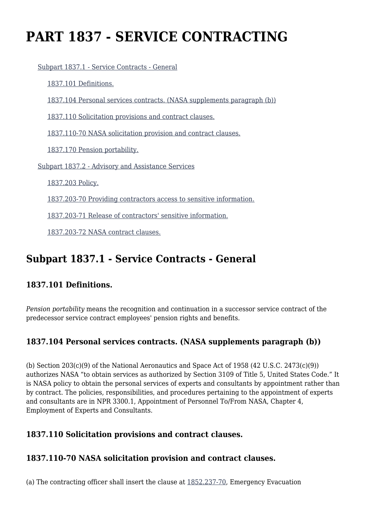# **PART 1837 - SERVICE CONTRACTING**

[Subpart 1837.1 - Service Contracts - General](https://login.acquisition.gov/%5Brp:link:nfs-part-1837%5D#Subpart_1837_1_T48_60421311)

[1837.101 Definitions.](https://login.acquisition.gov/%5Brp:link:nfs-part-1837%5D#Section_1837_101_T48_6042131111)

[1837.104 Personal services contracts. \(NASA supplements paragraph \(b\)\)](https://login.acquisition.gov/%5Brp:link:nfs-part-1837%5D#Section_1837_104_T48_6042131112)

[1837.110 Solicitation provisions and contract clauses.](https://login.acquisition.gov/%5Brp:link:nfs-part-1837%5D#Section_1837_110_T48_6042131113)

[1837.110-70 NASA solicitation provision and contract clauses.](https://login.acquisition.gov/%5Brp:link:nfs-part-1837%5D#Section_1837_110_70_T48_6042131114)

[1837.170 Pension portability.](https://login.acquisition.gov/%5Brp:link:nfs-part-1837%5D#Section_1837_170_T48_6042131115)

[Subpart 1837.2 - Advisory and Assistance Services](https://login.acquisition.gov/%5Brp:link:nfs-part-1837%5D#Subpart_1837_2_T48_60421312)

[1837.203 Policy.](https://login.acquisition.gov/%5Brp:link:nfs-part-1837%5D#Section_1837_203_T48_6042131211)

[1837.203-70 Providing contractors access to sensitive information.](https://login.acquisition.gov/%5Brp:link:nfs-part-1837%5D#Section_1837_203_70_T48_6042131212)

[1837.203-71 Release of contractors' sensitive information.](https://login.acquisition.gov/%5Brp:link:nfs-part-1837%5D#Section_1837_203_71_T48_6042131213)

[1837.203-72 NASA contract clauses.](https://login.acquisition.gov/%5Brp:link:nfs-part-1837%5D#Section_1837_203_72_T48_6042131214)

# **Subpart 1837.1 - Service Contracts - General**

# **1837.101 Definitions.**

*Pension portability* means the recognition and continuation in a successor service contract of the predecessor service contract employees' pension rights and benefits.

# **1837.104 Personal services contracts. (NASA supplements paragraph (b))**

(b) Section  $203(c)(9)$  of the National Aeronautics and Space Act of 1958 (42 U.S.C. 2473 $(c)(9)$ ) authorizes NASA "to obtain services as authorized by Section 3109 of Title 5, United States Code." It is NASA policy to obtain the personal services of experts and consultants by appointment rather than by contract. The policies, responsibilities, and procedures pertaining to the appointment of experts and consultants are in NPR 3300.1, Appointment of Personnel To/From NASA, Chapter 4, Employment of Experts and Consultants.

# **1837.110 Solicitation provisions and contract clauses.**

# **1837.110-70 NASA solicitation provision and contract clauses.**

(a) The contracting officer shall insert the clause at [1852.237-70,](https://login.acquisition.gov/%5Brp:link:nfs-part-1852%5D#Section_1852_237_70_T48_604234411104) Emergency Evacuation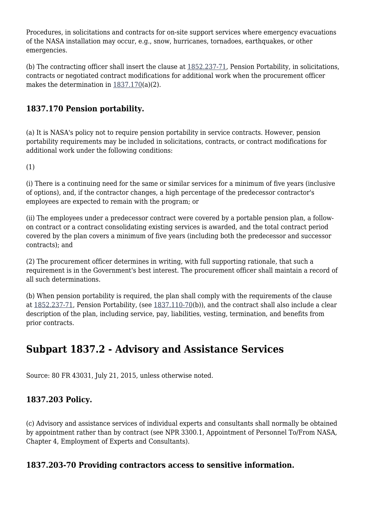Procedures, in solicitations and contracts for on-site support services where emergency evacuations of the NASA installation may occur, e.g., snow, hurricanes, tornadoes, earthquakes, or other emergencies.

(b) The contracting officer shall insert the clause at [1852.237-71](https://login.acquisition.gov/%5Brp:link:nfs-part-1852%5D#Section_1852_237_71_T48_604234411105), Pension Portability, in solicitations, contracts or negotiated contract modifications for additional work when the procurement officer makes the determination in [1837.170](https://login.acquisition.gov/%5Brp:link:nfs-part-1837%5D#Section_1837_170_T48_6042131115)(a)(2).

# **1837.170 Pension portability.**

(a) It is NASA's policy not to require pension portability in service contracts. However, pension portability requirements may be included in solicitations, contracts, or contract modifications for additional work under the following conditions:

(1)

(i) There is a continuing need for the same or similar services for a minimum of five years (inclusive of options), and, if the contractor changes, a high percentage of the predecessor contractor's employees are expected to remain with the program; or

(ii) The employees under a predecessor contract were covered by a portable pension plan, a followon contract or a contract consolidating existing services is awarded, and the total contract period covered by the plan covers a minimum of five years (including both the predecessor and successor contracts); and

(2) The procurement officer determines in writing, with full supporting rationale, that such a requirement is in the Government's best interest. The procurement officer shall maintain a record of all such determinations.

(b) When pension portability is required, the plan shall comply with the requirements of the clause at [1852.237-71,](https://login.acquisition.gov/%5Brp:link:nfs-part-1852%5D#Section_1852_237_71_T48_604234411105) Pension Portability, (see [1837.110-70](https://login.acquisition.gov/%5Brp:link:nfs-part-1837%5D#Section_1837_110_70_T48_6042131114)(b)), and the contract shall also include a clear description of the plan, including service, pay, liabilities, vesting, termination, and benefits from prior contracts.

# **Subpart 1837.2 - Advisory and Assistance Services**

Source: 80 FR 43031, July 21, 2015, unless otherwise noted.

# **1837.203 Policy.**

(c) Advisory and assistance services of individual experts and consultants shall normally be obtained by appointment rather than by contract (see NPR 3300.1, Appointment of Personnel To/From NASA, Chapter 4, Employment of Experts and Consultants).

# **1837.203-70 Providing contractors access to sensitive information.**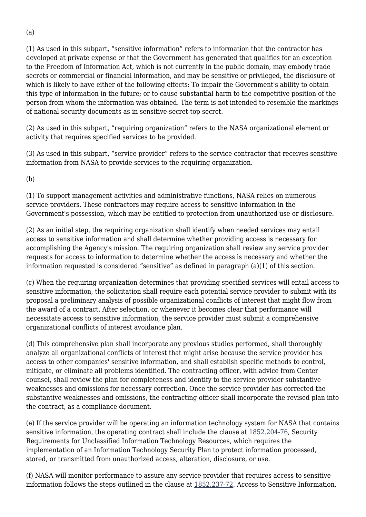(1) As used in this subpart, "sensitive information" refers to information that the contractor has developed at private expense or that the Government has generated that qualifies for an exception to the Freedom of Information Act, which is not currently in the public domain, may embody trade secrets or commercial or financial information, and may be sensitive or privileged, the disclosure of which is likely to have either of the following effects: To impair the Government's ability to obtain this type of information in the future; or to cause substantial harm to the competitive position of the person from whom the information was obtained. The term is not intended to resemble the markings of national security documents as in sensitive-secret-top secret.

(2) As used in this subpart, "requiring organization" refers to the NASA organizational element or activity that requires specified services to be provided.

(3) As used in this subpart, "service provider" refers to the service contractor that receives sensitive information from NASA to provide services to the requiring organization.

(b)

(1) To support management activities and administrative functions, NASA relies on numerous service providers. These contractors may require access to sensitive information in the Government's possession, which may be entitled to protection from unauthorized use or disclosure.

(2) As an initial step, the requiring organization shall identify when needed services may entail access to sensitive information and shall determine whether providing access is necessary for accomplishing the Agency's mission. The requiring organization shall review any service provider requests for access to information to determine whether the access is necessary and whether the information requested is considered "sensitive" as defined in paragraph (a)(1) of this section.

(c) When the requiring organization determines that providing specified services will entail access to sensitive information, the solicitation shall require each potential service provider to submit with its proposal a preliminary analysis of possible organizational conflicts of interest that might flow from the award of a contract. After selection, or whenever it becomes clear that performance will necessitate access to sensitive information, the service provider must submit a comprehensive organizational conflicts of interest avoidance plan.

(d) This comprehensive plan shall incorporate any previous studies performed, shall thoroughly analyze all organizational conflicts of interest that might arise because the service provider has access to other companies' sensitive information, and shall establish specific methods to control, mitigate, or eliminate all problems identified. The contracting officer, with advice from Center counsel, shall review the plan for completeness and identify to the service provider substantive weaknesses and omissions for necessary correction. Once the service provider has corrected the substantive weaknesses and omissions, the contracting officer shall incorporate the revised plan into the contract, as a compliance document.

(e) If the service provider will be operating an information technology system for NASA that contains sensitive information, the operating contract shall include the clause at  $1852.204-76$ , Security Requirements for Unclassified Information Technology Resources, which requires the implementation of an Information Technology Security Plan to protect information processed, stored, or transmitted from unauthorized access, alteration, disclosure, or use.

(f) NASA will monitor performance to assure any service provider that requires access to sensitive information follows the steps outlined in the clause at [1852.237-72](https://login.acquisition.gov/%5Brp:link:nfs-part-1852%5D#Section_1852_237_72_T48_604234411106), Access to Sensitive Information,

(a)